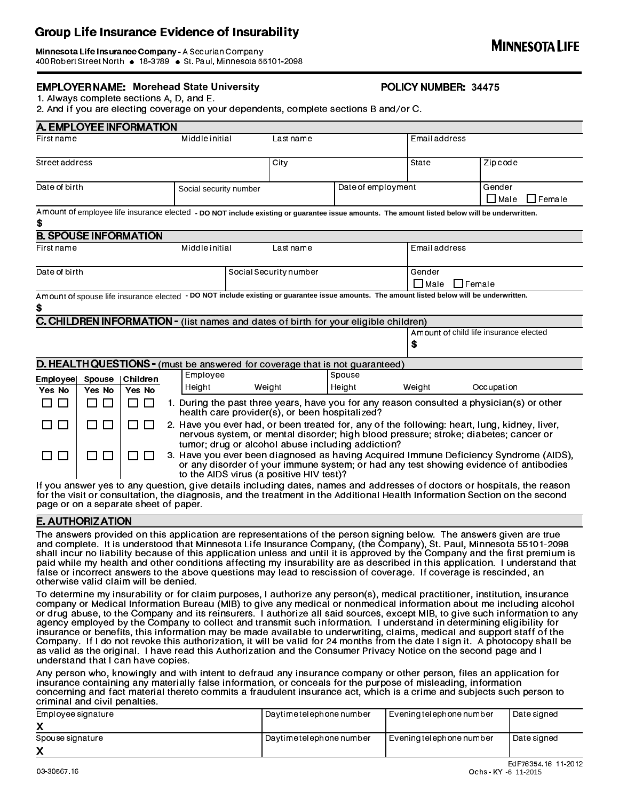Group Life Insurance Evidence of Insurability<br>Minnesota Life Insurance Company - A Securian Company<br>400 Robert StreetNorth • 18-3789 • St. Paul, Minnesota 55101-2098 Minnesota Life Insurance Company - A Securian Company<br>400 Robert Street North • 18-3789 • St. Paul, Minnesota 55101-2098

# EMPLOYER NAME: Morehead State University **1999 120 MILLERY HARBER: 34475**

1. Always complete sections A, D, and E.

2. And if you are electing coverage on your dependents, complete sections B and/or C.

|                                                                                      |                    | A. EMPLOYEE INFORMATION      |                                                                                                                                                                                                                                           |                                                                                                                                                                                                                            |                    |                                                                                                                                               |                                                                                                                          |  |  |
|--------------------------------------------------------------------------------------|--------------------|------------------------------|-------------------------------------------------------------------------------------------------------------------------------------------------------------------------------------------------------------------------------------------|----------------------------------------------------------------------------------------------------------------------------------------------------------------------------------------------------------------------------|--------------------|-----------------------------------------------------------------------------------------------------------------------------------------------|--------------------------------------------------------------------------------------------------------------------------|--|--|
| Firstname                                                                            | Middle initial     |                              |                                                                                                                                                                                                                                           | Lastname                                                                                                                                                                                                                   |                    |                                                                                                                                               | <b>Email address</b>                                                                                                     |  |  |
| Street address                                                                       |                    |                              | City                                                                                                                                                                                                                                      |                                                                                                                                                                                                                            |                    | State                                                                                                                                         | Zip code                                                                                                                 |  |  |
| Date of birth                                                                        |                    |                              | Social security number                                                                                                                                                                                                                    |                                                                                                                                                                                                                            | Date of employment |                                                                                                                                               | Gender<br>$\Box$ Male<br><b>I</b> Female                                                                                 |  |  |
| \$                                                                                   |                    |                              |                                                                                                                                                                                                                                           |                                                                                                                                                                                                                            |                    | Amount of employee life insurance elected - DO NOT include existing or guarantee issue amounts. The amount listed below will be underwritten. |                                                                                                                          |  |  |
|                                                                                      |                    | <b>B. SPOUSE INFORMATION</b> |                                                                                                                                                                                                                                           |                                                                                                                                                                                                                            |                    |                                                                                                                                               |                                                                                                                          |  |  |
| Firstname                                                                            |                    |                              | Middle initial                                                                                                                                                                                                                            | Lastname                                                                                                                                                                                                                   |                    |                                                                                                                                               | Email address                                                                                                            |  |  |
| Date of birth                                                                        |                    |                              |                                                                                                                                                                                                                                           | Social Security number                                                                                                                                                                                                     |                    |                                                                                                                                               | Gender<br>$\Box$ Male<br>$\Box$ Female                                                                                   |  |  |
| \$                                                                                   |                    |                              |                                                                                                                                                                                                                                           |                                                                                                                                                                                                                            |                    | Amount of spouse life insurance elected - DO NOT include existing or guarantee issue amounts. The amount listed below will be underwritten.   |                                                                                                                          |  |  |
| C. CHILDREN INFORMATION - (list names and dates of birth for your eligible children) |                    |                              |                                                                                                                                                                                                                                           |                                                                                                                                                                                                                            |                    |                                                                                                                                               |                                                                                                                          |  |  |
|                                                                                      |                    |                              |                                                                                                                                                                                                                                           |                                                                                                                                                                                                                            |                    | \$                                                                                                                                            | Amount of child life insurance elected                                                                                   |  |  |
|                                                                                      |                    |                              | D. HEALTH QUESTIONS - (must be answered for coverage that is not guaranteed)                                                                                                                                                              |                                                                                                                                                                                                                            |                    |                                                                                                                                               |                                                                                                                          |  |  |
| <b>Employee</b><br>Yes No                                                            | Spouse  <br>Yes No | Children<br>Yes No           | Employee<br>Height                                                                                                                                                                                                                        | Weight                                                                                                                                                                                                                     | Spouse<br>Height   | Weight                                                                                                                                        | Occupation                                                                                                               |  |  |
| $\Box$<br>П                                                                          | П<br>□             | П<br>$\Box$                  | 1. During the past three years, have you for any reason consulted a physician(s) or other<br>health care provider(s), or been hospitalized?                                                                                               |                                                                                                                                                                                                                            |                    |                                                                                                                                               |                                                                                                                          |  |  |
| $\Box$                                                                               | П                  | $\Box$<br>$\Box$             | 2. Have you ever had, or been treated for, any of the following: heart, lung, kidney, liver,<br>nervous system, or mental disorder; high blood pressure; stroke; diabetes; cancer or<br>tumor; drug or alcohol abuse including addiction? |                                                                                                                                                                                                                            |                    |                                                                                                                                               |                                                                                                                          |  |  |
| $\Box$<br>$\blacksquare$                                                             | $\Box$             |                              |                                                                                                                                                                                                                                           | 3. Have you ever been diagnosed as having Acquired Immune Deficiency Syndrome (AIDS),<br>or any disorder of your immune system; or had any test showing evidence of antibodies<br>to the AIDS virus (a positive HIV test)? |                    |                                                                                                                                               |                                                                                                                          |  |  |
|                                                                                      |                    |                              |                                                                                                                                                                                                                                           |                                                                                                                                                                                                                            |                    |                                                                                                                                               | If you answer yes to any question, give details including dates, names and addresses of doctors or hospitals, the reason |  |  |

If you answer yes to any question, give details including dates, names and addresses of doctors or hospitals, the reason for the visit or consultation, the diagnosis, and the treatment in the Additional Health Information Section on the second page or on a separate sheet of paper.

## E. AUTHORIZATION

The answers provided on this application are representations of the person signing below. The answers given are true and complete. It is understood that Minnesota Life Insurance Company, (the Company), St. Paul, Minnesota 55101-2098 shall incur no liability because of this application unless and until it is approved by the Company and the first premium is paid while my health and other conditions affecting my insurability are as described in this application. I understand that false or incorrect answers to the above questions may lead to rescission of coverage. If coverage is rescinded, an otherwise valid claim will be denied.

To determine my insurability or for claim purposes, I authorize any person(s), medical practitioner, institution, insurance company or Medical Information Bureau (MIB) to give any medical or nonmedical information about me including alcohol or drug abuse, to the Company and its reinsurers. I authorize all said sources, except MIB, to give such information to any agency employed by the Company to collect and transmit such information. I understand in determining eligibility for insurance or benefits, this information may be made available to underwriting, claims, medical and support staff of the Company. If I do not revoke this authorization, it will be valid for 24 months from the date I sign it. A photocopy shall be as valid as the original. I have read this Authorization and the Consumer Privacy Notice on the second page and I understand that I can have copies.

Any person who, knowingly and with intent to defraud any insurance company or other person, files an application for insurance containing any materially false information, or conceals for the purpose of misleading, information concerning and fact material thereto commits a fraudulent insurance act, which is a crime and subjects such person to criminal and civil penalties.

| Employee signature | l Davtime telephone number i | Evening telephone number | <sup>1</sup> Date signed |  |
|--------------------|------------------------------|--------------------------|--------------------------|--|
|                    |                              |                          |                          |  |
| Spouse signature   | Daytime telephone number     | Evening telephone number | Date signed              |  |
|                    |                              |                          |                          |  |